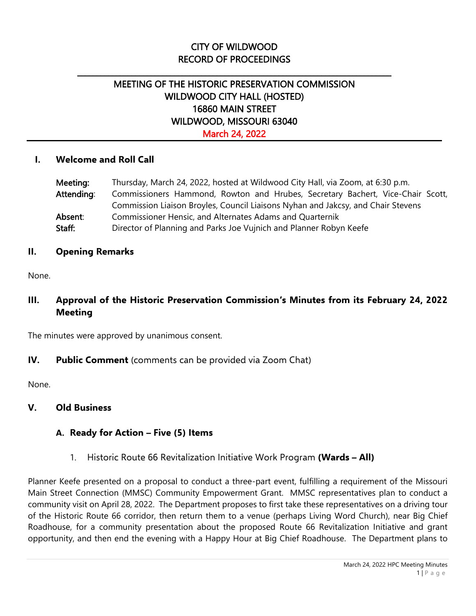# CITY OF WILDWOOD RECORD OF PROCEEDINGS

\_\_\_\_\_\_\_\_\_\_\_\_\_\_\_\_\_\_\_\_\_\_\_\_\_\_\_\_\_\_\_\_\_\_\_\_\_\_\_\_\_\_\_\_\_\_\_\_\_\_\_\_\_\_\_\_\_\_\_\_\_\_\_\_\_\_\_\_\_\_\_\_\_\_\_\_\_\_\_\_\_

# MEETING OF THE HISTORIC PRESERVATION COMMISSION WILDWOOD CITY HALL (HOSTED) 16860 MAIN STREET WILDWOOD, MISSOURI 63040 March 24, 2022

#### **I. Welcome and Roll Call**

| Meeting:   | Thursday, March 24, 2022, hosted at Wildwood City Hall, via Zoom, at 6:30 p.m.   |
|------------|----------------------------------------------------------------------------------|
| Attending: | Commissioners Hammond, Rowton and Hrubes, Secretary Bachert, Vice-Chair Scott,   |
|            | Commission Liaison Broyles, Council Liaisons Nyhan and Jakcsy, and Chair Stevens |
| Absent:    | Commissioner Hensic, and Alternates Adams and Quarternik                         |
| Staff:     | Director of Planning and Parks Joe Vujnich and Planner Robyn Keefe               |

#### **II. Opening Remarks**

None.

## **III. Approval of the Historic Preservation Commission's Minutes from its February 24, 2022 Meeting**

The minutes were approved by unanimous consent.

#### **IV. Public Comment** (comments can be provided via Zoom Chat)

None.

## **V. Old Business**

## **A. Ready for Action – Five (5) Items**

1. Historic Route 66 Revitalization Initiative Work Program **(Wards – All)**

Planner Keefe presented on a proposal to conduct a three-part event, fulfilling a requirement of the Missouri Main Street Connection (MMSC) Community Empowerment Grant. MMSC representatives plan to conduct a community visit on April 28, 2022. The Department proposes to first take these representatives on a driving tour of the Historic Route 66 corridor, then return them to a venue (perhaps Living Word Church), near Big Chief Roadhouse, for a community presentation about the proposed Route 66 Revitalization Initiative and grant opportunity, and then end the evening with a Happy Hour at Big Chief Roadhouse. The Department plans to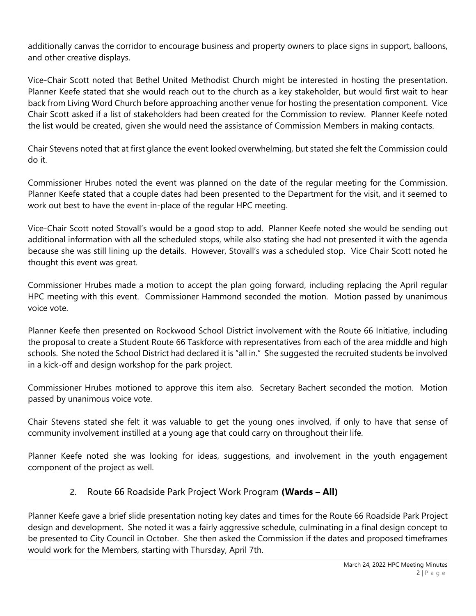additionally canvas the corridor to encourage business and property owners to place signs in support, balloons, and other creative displays.

Vice-Chair Scott noted that Bethel United Methodist Church might be interested in hosting the presentation. Planner Keefe stated that she would reach out to the church as a key stakeholder, but would first wait to hear back from Living Word Church before approaching another venue for hosting the presentation component. Vice Chair Scott asked if a list of stakeholders had been created for the Commission to review. Planner Keefe noted the list would be created, given she would need the assistance of Commission Members in making contacts.

Chair Stevens noted that at first glance the event looked overwhelming, but stated she felt the Commission could do it.

Commissioner Hrubes noted the event was planned on the date of the regular meeting for the Commission. Planner Keefe stated that a couple dates had been presented to the Department for the visit, and it seemed to work out best to have the event in-place of the regular HPC meeting.

Vice-Chair Scott noted Stovall's would be a good stop to add. Planner Keefe noted she would be sending out additional information with all the scheduled stops, while also stating she had not presented it with the agenda because she was still lining up the details. However, Stovall's was a scheduled stop. Vice Chair Scott noted he thought this event was great.

Commissioner Hrubes made a motion to accept the plan going forward, including replacing the April regular HPC meeting with this event. Commissioner Hammond seconded the motion. Motion passed by unanimous voice vote.

Planner Keefe then presented on Rockwood School District involvement with the Route 66 Initiative, including the proposal to create a Student Route 66 Taskforce with representatives from each of the area middle and high schools. She noted the School District had declared it is "all in." She suggested the recruited students be involved in a kick-off and design workshop for the park project.

Commissioner Hrubes motioned to approve this item also. Secretary Bachert seconded the motion. Motion passed by unanimous voice vote.

Chair Stevens stated she felt it was valuable to get the young ones involved, if only to have that sense of community involvement instilled at a young age that could carry on throughout their life.

Planner Keefe noted she was looking for ideas, suggestions, and involvement in the youth engagement component of the project as well.

# 2. Route 66 Roadside Park Project Work Program **(Wards – All)**

Planner Keefe gave a brief slide presentation noting key dates and times for the Route 66 Roadside Park Project design and development. She noted it was a fairly aggressive schedule, culminating in a final design concept to be presented to City Council in October. She then asked the Commission if the dates and proposed timeframes would work for the Members, starting with Thursday, April 7th.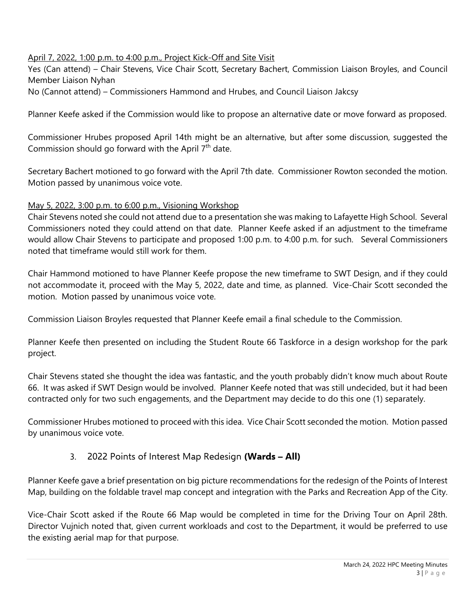#### April 7, 2022, 1:00 p.m. to 4:00 p.m., Project Kick-Off and Site Visit

Yes (Can attend) – Chair Stevens, Vice Chair Scott, Secretary Bachert, Commission Liaison Broyles, and Council Member Liaison Nyhan

No (Cannot attend) – Commissioners Hammond and Hrubes, and Council Liaison Jakcsy

Planner Keefe asked if the Commission would like to propose an alternative date or move forward as proposed.

Commissioner Hrubes proposed April 14th might be an alternative, but after some discussion, suggested the Commission should go forward with the April  $7<sup>th</sup>$  date.

Secretary Bachert motioned to go forward with the April 7th date. Commissioner Rowton seconded the motion. Motion passed by unanimous voice vote.

#### May 5, 2022, 3:00 p.m. to 6:00 p.m., Visioning Workshop

Chair Stevens noted she could not attend due to a presentation she was making to Lafayette High School. Several Commissioners noted they could attend on that date. Planner Keefe asked if an adjustment to the timeframe would allow Chair Stevens to participate and proposed 1:00 p.m. to 4:00 p.m. for such. Several Commissioners noted that timeframe would still work for them.

Chair Hammond motioned to have Planner Keefe propose the new timeframe to SWT Design, and if they could not accommodate it, proceed with the May 5, 2022, date and time, as planned. Vice-Chair Scott seconded the motion. Motion passed by unanimous voice vote.

Commission Liaison Broyles requested that Planner Keefe email a final schedule to the Commission.

Planner Keefe then presented on including the Student Route 66 Taskforce in a design workshop for the park project.

Chair Stevens stated she thought the idea was fantastic, and the youth probably didn't know much about Route 66. It was asked if SWT Design would be involved. Planner Keefe noted that was still undecided, but it had been contracted only for two such engagements, and the Department may decide to do this one (1) separately.

Commissioner Hrubes motioned to proceed with this idea. Vice Chair Scott seconded the motion. Motion passed by unanimous voice vote.

## 3. 2022 Points of Interest Map Redesign **(Wards – All)**

Planner Keefe gave a brief presentation on big picture recommendations for the redesign of the Points of Interest Map, building on the foldable travel map concept and integration with the Parks and Recreation App of the City.

Vice-Chair Scott asked if the Route 66 Map would be completed in time for the Driving Tour on April 28th. Director Vujnich noted that, given current workloads and cost to the Department, it would be preferred to use the existing aerial map for that purpose.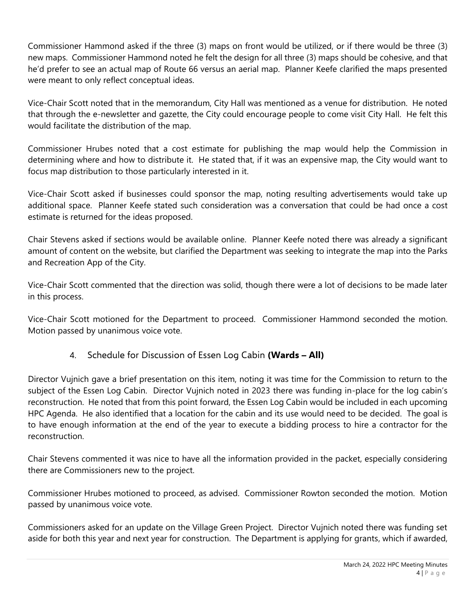Commissioner Hammond asked if the three (3) maps on front would be utilized, or if there would be three (3) new maps. Commissioner Hammond noted he felt the design for all three (3) maps should be cohesive, and that he'd prefer to see an actual map of Route 66 versus an aerial map. Planner Keefe clarified the maps presented were meant to only reflect conceptual ideas.

Vice-Chair Scott noted that in the memorandum, City Hall was mentioned as a venue for distribution. He noted that through the e-newsletter and gazette, the City could encourage people to come visit City Hall. He felt this would facilitate the distribution of the map.

Commissioner Hrubes noted that a cost estimate for publishing the map would help the Commission in determining where and how to distribute it. He stated that, if it was an expensive map, the City would want to focus map distribution to those particularly interested in it.

Vice-Chair Scott asked if businesses could sponsor the map, noting resulting advertisements would take up additional space. Planner Keefe stated such consideration was a conversation that could be had once a cost estimate is returned for the ideas proposed.

Chair Stevens asked if sections would be available online. Planner Keefe noted there was already a significant amount of content on the website, but clarified the Department was seeking to integrate the map into the Parks and Recreation App of the City.

Vice-Chair Scott commented that the direction was solid, though there were a lot of decisions to be made later in this process.

Vice-Chair Scott motioned for the Department to proceed. Commissioner Hammond seconded the motion. Motion passed by unanimous voice vote.

4. Schedule for Discussion of Essen Log Cabin **(Wards – All)**

Director Vujnich gave a brief presentation on this item, noting it was time for the Commission to return to the subject of the Essen Log Cabin. Director Vujnich noted in 2023 there was funding in-place for the log cabin's reconstruction. He noted that from this point forward, the Essen Log Cabin would be included in each upcoming HPC Agenda. He also identified that a location for the cabin and its use would need to be decided. The goal is to have enough information at the end of the year to execute a bidding process to hire a contractor for the reconstruction.

Chair Stevens commented it was nice to have all the information provided in the packet, especially considering there are Commissioners new to the project.

Commissioner Hrubes motioned to proceed, as advised. Commissioner Rowton seconded the motion. Motion passed by unanimous voice vote.

Commissioners asked for an update on the Village Green Project. Director Vujnich noted there was funding set aside for both this year and next year for construction. The Department is applying for grants, which if awarded,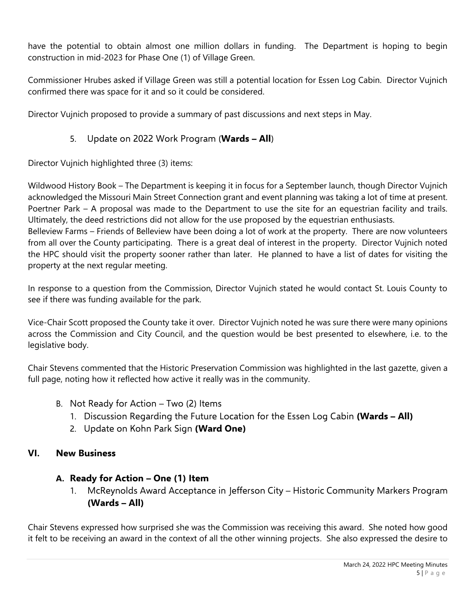have the potential to obtain almost one million dollars in funding. The Department is hoping to begin construction in mid-2023 for Phase One (1) of Village Green.

Commissioner Hrubes asked if Village Green was still a potential location for Essen Log Cabin. Director Vujnich confirmed there was space for it and so it could be considered.

Director Vujnich proposed to provide a summary of past discussions and next steps in May.

### 5. Update on 2022 Work Program (**Wards – All**)

Director Vujnich highlighted three (3) items:

Wildwood History Book – The Department is keeping it in focus for a September launch, though Director Vujnich acknowledged the Missouri Main Street Connection grant and event planning was taking a lot of time at present. Poertner Park – A proposal was made to the Department to use the site for an equestrian facility and trails. Ultimately, the deed restrictions did not allow for the use proposed by the equestrian enthusiasts. Belleview Farms – Friends of Belleview have been doing a lot of work at the property. There are now volunteers

from all over the County participating. There is a great deal of interest in the property. Director Vujnich noted the HPC should visit the property sooner rather than later. He planned to have a list of dates for visiting the property at the next regular meeting.

In response to a question from the Commission, Director Vujnich stated he would contact St. Louis County to see if there was funding available for the park.

Vice-Chair Scott proposed the County take it over. Director Vujnich noted he was sure there were many opinions across the Commission and City Council, and the question would be best presented to elsewhere, i.e. to the legislative body.

Chair Stevens commented that the Historic Preservation Commission was highlighted in the last gazette, given a full page, noting how it reflected how active it really was in the community.

- B. Not Ready for Action Two (2) Items
	- 1. Discussion Regarding the Future Location for the Essen Log Cabin **(Wards – All)**
	- 2. Update on Kohn Park Sign **(Ward One)**

#### **VI. New Business**

## **A. Ready for Action – One (1) Item**

1. McReynolds Award Acceptance in Jefferson City – Historic Community Markers Program **(Wards – All)**

Chair Stevens expressed how surprised she was the Commission was receiving this award. She noted how good it felt to be receiving an award in the context of all the other winning projects. She also expressed the desire to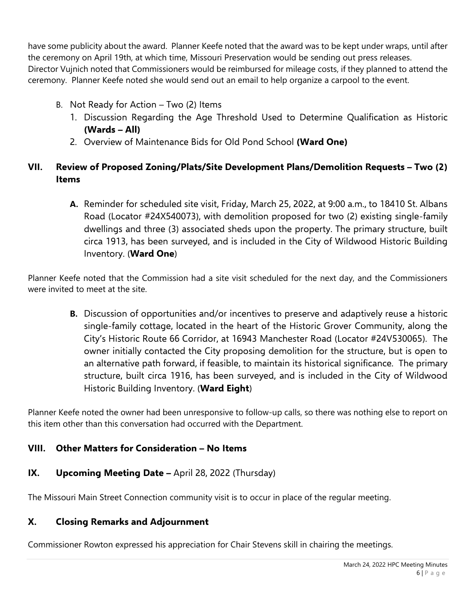have some publicity about the award. Planner Keefe noted that the award was to be kept under wraps, until after the ceremony on April 19th, at which time, Missouri Preservation would be sending out press releases. Director Vujnich noted that Commissioners would be reimbursed for mileage costs, if they planned to attend the ceremony. Planner Keefe noted she would send out an email to help organize a carpool to the event.

- B. Not Ready for Action Two (2) Items
	- 1. Discussion Regarding the Age Threshold Used to Determine Qualification as Historic **(Wards – All)**
	- 2. Overview of Maintenance Bids for Old Pond School **(Ward One)**

# **VII. Review of Proposed Zoning/Plats/Site Development Plans/Demolition Requests – Two (2) Items**

**A.** Reminder for scheduled site visit, Friday, March 25, 2022, at 9:00 a.m., to 18410 St. Albans Road (Locator #24X540073), with demolition proposed for two (2) existing single-family dwellings and three (3) associated sheds upon the property. The primary structure, built circa 1913, has been surveyed, and is included in the City of Wildwood Historic Building Inventory. (**Ward One**)

Planner Keefe noted that the Commission had a site visit scheduled for the next day, and the Commissioners were invited to meet at the site.

**B.** Discussion of opportunities and/or incentives to preserve and adaptively reuse a historic single-family cottage, located in the heart of the Historic Grover Community, along the City's Historic Route 66 Corridor, at 16943 Manchester Road (Locator #24V530065). The owner initially contacted the City proposing demolition for the structure, but is open to an alternative path forward, if feasible, to maintain its historical significance. The primary structure, built circa 1916, has been surveyed, and is included in the City of Wildwood Historic Building Inventory. (**Ward Eight**)

Planner Keefe noted the owner had been unresponsive to follow-up calls, so there was nothing else to report on this item other than this conversation had occurred with the Department.

# **VIII. Other Matters for Consideration – No Items**

**IX. Upcoming Meeting Date -** April 28, 2022 (Thursday)

The Missouri Main Street Connection community visit is to occur in place of the regular meeting.

# **X. Closing Remarks and Adjournment**

Commissioner Rowton expressed his appreciation for Chair Stevens skill in chairing the meetings.